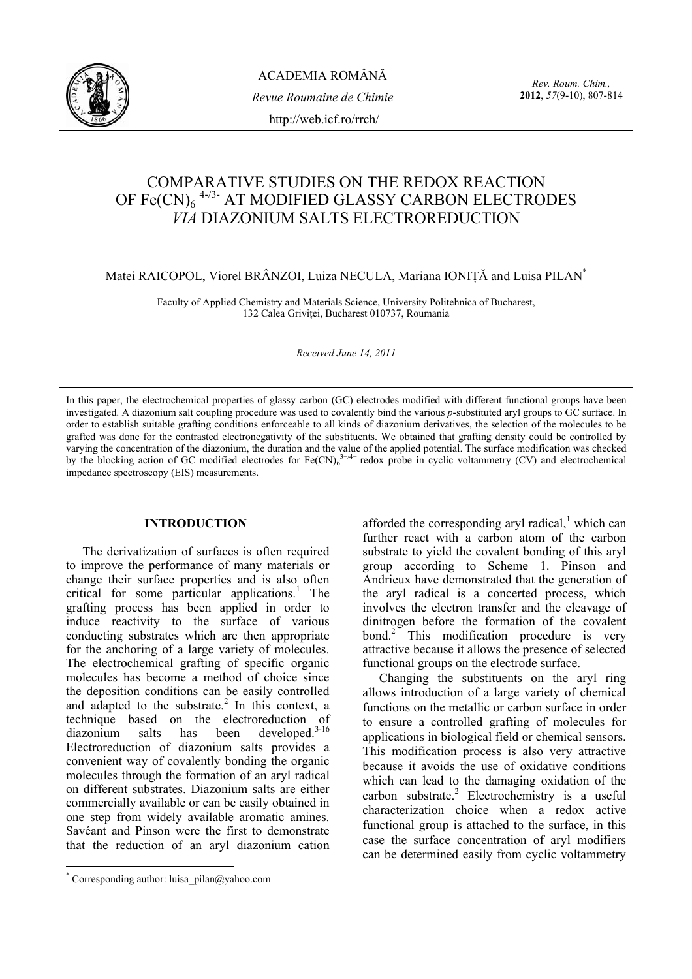

*Rev. Roum. Chim.,*  **2012**, *57*(9-10), 807-814

# COMPARATIVE STUDIES ON THE REDOX REACTION OF  $Fe(CN)_6$ <sup>4-/3-</sup> AT MODIFIED GLASSY CARBON ELECTRODES *VIA* DIAZONIUM SALTS ELECTROREDUCTION

Matei RAICOPOL, Viorel BRÂNZOI, Luiza NECULA, Mariana IONIŢĂ and Luisa PILAN\*

Faculty of Applied Chemistry and Materials Science, University Politehnica of Bucharest, 132 Calea Griviţei, Bucharest 010737, Roumania

*Received June 14, 2011* 

In this paper, the electrochemical properties of glassy carbon (GC) electrodes modified with different functional groups have been investigated. A diazonium salt coupling procedure was used to covalently bind the various *p*-substituted aryl groups to GC surface. In order to establish suitable grafting conditions enforceable to all kinds of diazonium derivatives, the selection of the molecules to be grafted was done for the contrasted electronegativity of the substituents. We obtained that grafting density could be controlled by varying the concentration of the diazonium, the duration and the value of the applied potential. The surface modification was checked by the blocking action of GC modified electrodes for  $Fe(CN)_6^{3-4-}$  redox probe in cyclic voltammetry (CV) and electrochemical impedance spectroscopy (EIS) measurements.

## **INTRODUCTION\***

 The derivatization of surfaces is often required to improve the performance of many materials or change their surface properties and is also often critical for some particular applications.<sup>1</sup> The grafting process has been applied in order to induce reactivity to the surface of various conducting substrates which are then appropriate for the anchoring of a large variety of molecules. The electrochemical grafting of specific organic molecules has become a method of choice since the deposition conditions can be easily controlled and adapted to the substrate.<sup>2</sup> In this context, a technique based on the electroreduction of diazonium salts has been developed.<sup>3-16</sup> Electroreduction of diazonium salts provides a convenient way of covalently bonding the organic molecules through the formation of an aryl radical on different substrates. Diazonium salts are either commercially available or can be easily obtained in one step from widely available aromatic amines. Savéant and Pinson were the first to demonstrate that the reduction of an aryl diazonium cation

 $\overline{a}$ 

afforded the corresponding aryl radical, $<sup>1</sup>$  which can</sup> further react with a carbon atom of the carbon substrate to yield the covalent bonding of this aryl group according to Scheme 1. Pinson and Andrieux have demonstrated that the generation of the aryl radical is a concerted process, which involves the electron transfer and the cleavage of dinitrogen before the formation of the covalent bond.<sup>2</sup> This modification procedure is very attractive because it allows the presence of selected functional groups on the electrode surface.

Changing the substituents on the aryl ring allows introduction of a large variety of chemical functions on the metallic or carbon surface in order to ensure a controlled grafting of molecules for applications in biological field or chemical sensors. This modification process is also very attractive because it avoids the use of oxidative conditions which can lead to the damaging oxidation of the carbon substrate.<sup>2</sup> Electrochemistry is a useful characterization choice when a redox active functional group is attached to the surface, in this case the surface concentration of aryl modifiers can be determined easily from cyclic voltammetry

<sup>\*</sup> Corresponding author: luisa\_pilan@yahoo.com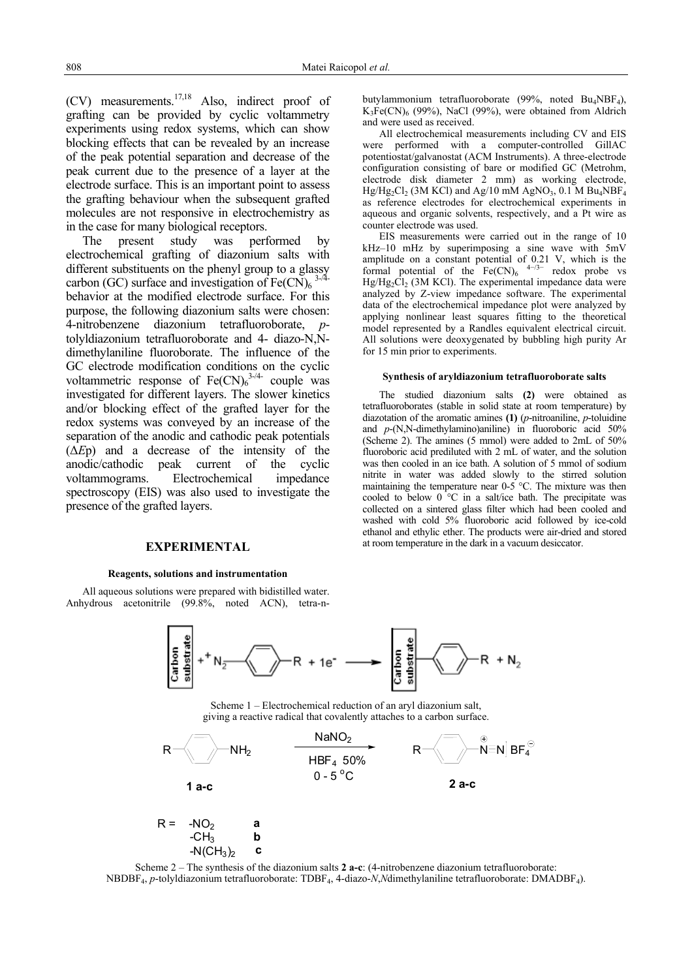(CV) measurements.17,18 Also, indirect proof of grafting can be provided by cyclic voltammetry experiments using redox systems, which can show blocking effects that can be revealed by an increase of the peak potential separation and decrease of the peak current due to the presence of a layer at the electrode surface. This is an important point to assess the grafting behaviour when the subsequent grafted molecules are not responsive in electrochemistry as in the case for many biological receptors.

The present study was performed by electrochemical grafting of diazonium salts with different substituents on the phenyl group to a glassy carbon (GC) surface and investigation of Fe(CN) $_6$ <sup>3-/4-</sup> behavior at the modified electrode surface. For this purpose, the following diazonium salts were chosen: 4-nitrobenzene diazonium tetrafluoroborate, *p*tolyldiazonium tetrafluoroborate and 4- diazo-N,Ndimethylaniline fluoroborate. The influence of the GC electrode modification conditions on the cyclic voltammetric response of  $Fe(CN)_6^{3/4}$  couple was investigated for different layers. The slower kinetics and/or blocking effect of the grafted layer for the redox systems was conveyed by an increase of the separation of the anodic and cathodic peak potentials (∆*E*p) and a decrease of the intensity of the anodic/cathodic peak current of the cyclic voltammograms. Electrochemical impedance spectroscopy (EIS) was also used to investigate the presence of the grafted layers.

#### **EXPERIMENTAL**

#### **Reagents, solutions and instrumentation**

 All aqueous solutions were prepared with bidistilled water. Anhydrous acetonitrile (99.8%, noted ACN), tetra-nbutylammonium tetrafluoroborate (99%, noted Bu4NBF4),  $K_3Fe(CN)_6$  (99%), NaCl (99%), were obtained from Aldrich and were used as received.

 All electrochemical measurements including CV and EIS were performed with a computer-controlled GillAC potentiostat/galvanostat (ACM Instruments). A three-electrode configuration consisting of bare or modified GC (Metrohm, electrode disk diameter 2 mm) as working electrode,  $Hg/Hg_2Cl_2$  (3M KCl) and Ag/10 mM AgNO<sub>3</sub>, 0.1 M Bu<sub>4</sub>NBF<sub>4</sub> as reference electrodes for electrochemical experiments in aqueous and organic solvents, respectively, and a Pt wire as counter electrode was used.

 EIS measurements were carried out in the range of 10 kHz–10 mHz by superimposing a sine wave with 5mV amplitude on a constant potential of 0.21 V, which is the formal potential of the  $Fe(CN)_6$ <sup>4-/3−</sup> redox probe vs  $Hg/Hg_2Cl_2$  (3M KCl). The experimental impedance data were analyzed by Z-view impedance software. The experimental data of the electrochemical impedance plot were analyzed by applying nonlinear least squares fitting to the theoretical model represented by a Randles equivalent electrical circuit. All solutions were deoxygenated by bubbling high purity Ar for 15 min prior to experiments.

#### **Synthesis of aryldiazonium tetrafluoroborate salts**

 The studied diazonium salts **(2)** were obtained as tetrafluoroborates (stable in solid state at room temperature) by diazotation of the aromatic amines **(1)** (*p*-nitroaniline, *p*-toluidine and *p*-(N,N-dimethylamino)aniline) in fluoroboric acid 50% (Scheme 2). The amines (5 mmol) were added to 2mL of 50% fluoroboric acid prediluted with 2 mL of water, and the solution was then cooled in an ice bath. A solution of 5 mmol of sodium nitrite in water was added slowly to the stirred solution maintaining the temperature near 0-5 °C. The mixture was then cooled to below 0 °C in a salt/ice bath. The precipitate was collected on a sintered glass filter which had been cooled and washed with cold 5% fluoroboric acid followed by ice-cold ethanol and ethylic ether. The products were air-dried and stored at room temperature in the dark in a vacuum desiccator.



Scheme 1 – Electrochemical reduction of an aryl diazonium salt, giving a reactive radical that covalently attaches to a carbon surface.



Scheme 2 – The synthesis of the diazonium salts **2 a-c**: (4-nitrobenzene diazonium tetrafluoroborate: NBDBF4, *p*-tolyldiazonium tetrafluoroborate: TDBF4, 4-diazo-*N*,*N*dimethylaniline tetrafluoroborate: DMADBF4).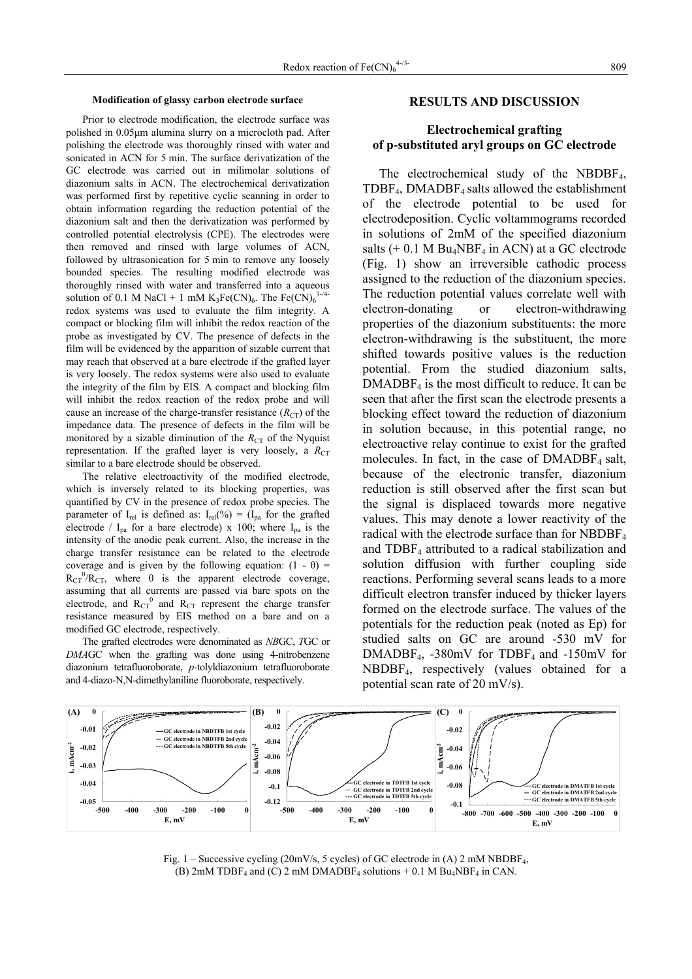#### **Modification of glassy carbon electrode surface**

 Prior to electrode modification, the electrode surface was polished in 0.05µm alumina slurry on a microcloth pad. After polishing the electrode was thoroughly rinsed with water and sonicated in ACN for 5 min. The surface derivatization of the GC electrode was carried out in milimolar solutions of diazonium salts in ACN. The electrochemical derivatization was performed first by repetitive cyclic scanning in order to obtain information regarding the reduction potential of the diazonium salt and then the derivatization was performed by controlled potential electrolysis (CPE). The electrodes were then removed and rinsed with large volumes of ACN, followed by ultrasonication for 5 min to remove any loosely bounded species. The resulting modified electrode was thoroughly rinsed with water and transferred into a aqueous solution of 0.1 M NaCl + 1 mM  $K_3Fe(CN)_6$ . The Fe(CN) $_6^{3-/4-}$ redox systems was used to evaluate the film integrity. A compact or blocking film will inhibit the redox reaction of the probe as investigated by CV. The presence of defects in the film will be evidenced by the apparition of sizable current that may reach that observed at a bare electrode if the grafted layer is very loosely. The redox systems were also used to evaluate the integrity of the film by EIS. A compact and blocking film will inhibit the redox reaction of the redox probe and will cause an increase of the charge-transfer resistance  $(R_{CT})$  of the impedance data. The presence of defects in the film will be monitored by a sizable diminution of the  $R_{CT}$  of the Nyquist representation. If the grafted layer is very loosely, a  $R_{CT}$ similar to a bare electrode should be observed.

 The relative electroactivity of the modified electrode, which is inversely related to its blocking properties, was quantified by CV in the presence of redox probe species. The parameter of I<sub>rel</sub> is defined as: I<sub>rel</sub>(%) = (I<sub>pa</sub> for the grafted electrode /  $I_{pa}$  for a bare electrode) x 100; where  $I_{pa}$  is the intensity of the anodic peak current. Also, the increase in the charge transfer resistance can be related to the electrode coverage and is given by the following equation:  $(1 - \theta)$  =  $R_{CT}^{0}/R_{CT}$ , where  $\theta$  is the apparent electrode coverage, assuming that all currents are passed via bare spots on the electrode, and  $R_{CT}^0$  and  $R_{CT}$  represent the charge transfer resistance measured by EIS method on a bare and on a modified GC electrode, respectively.

 The grafted electrodes were denominated as *NB*GC, *T*GC or *DMA*GC when the grafting was done using 4-nitrobenzene diazonium tetrafluoroborate, *p*-tolyldiazonium tetrafluoroborate and 4-diazo-N,N-dimethylaniline fluoroborate, respectively.

## **RESULTS AND DISCUSSION**

# **Electrochemical grafting of p-substituted aryl groups on GC electrode**

The electrochemical study of the NBDBF<sub>4</sub>, TDBF<sub>4</sub>, DMADBF<sub>4</sub> salts allowed the establishment of the electrode potential to be used for electrodeposition. Cyclic voltammograms recorded in solutions of 2mM of the specified diazonium salts  $(+ 0.1 M Bu<sub>4</sub>NBF<sub>4</sub>$  in ACN) at a GC electrode (Fig. 1) show an irreversible cathodic process assigned to the reduction of the diazonium species. The reduction potential values correlate well with electron-donating or electron-withdrawing properties of the diazonium substituents: the more electron-withdrawing is the substituent, the more shifted towards positive values is the reduction potential. From the studied diazonium salts,  $DMADBF<sub>4</sub>$  is the most difficult to reduce. It can be seen that after the first scan the electrode presents a blocking effect toward the reduction of diazonium in solution because, in this potential range, no electroactive relay continue to exist for the grafted molecules. In fact, in the case of  $DMADBF<sub>4</sub>$  salt, because of the electronic transfer, diazonium reduction is still observed after the first scan but the signal is displaced towards more negative values. This may denote a lower reactivity of the radical with the electrode surface than for NBDBF4 and TDBF4 attributed to a radical stabilization and solution diffusion with further coupling side reactions. Performing several scans leads to a more difficult electron transfer induced by thicker layers formed on the electrode surface. The values of the potentials for the reduction peak (noted as Ep) for studied salts on GC are around -530 mV for DMADBF4, -380mV for TDBF4 and -150mV for NBDBF4, respectively (values obtained for a potential scan rate of 20 mV/s).



Fig. 1 – Successive cycling (20mV/s, 5 cycles) of GC electrode in (A) 2 mM NBDBF4, (B) 2mM TDBF<sub>4</sub> and (C) 2 mM DMADBF<sub>4</sub> solutions  $+$  0.1 M Bu<sub>4</sub>NBF<sub>4</sub> in CAN.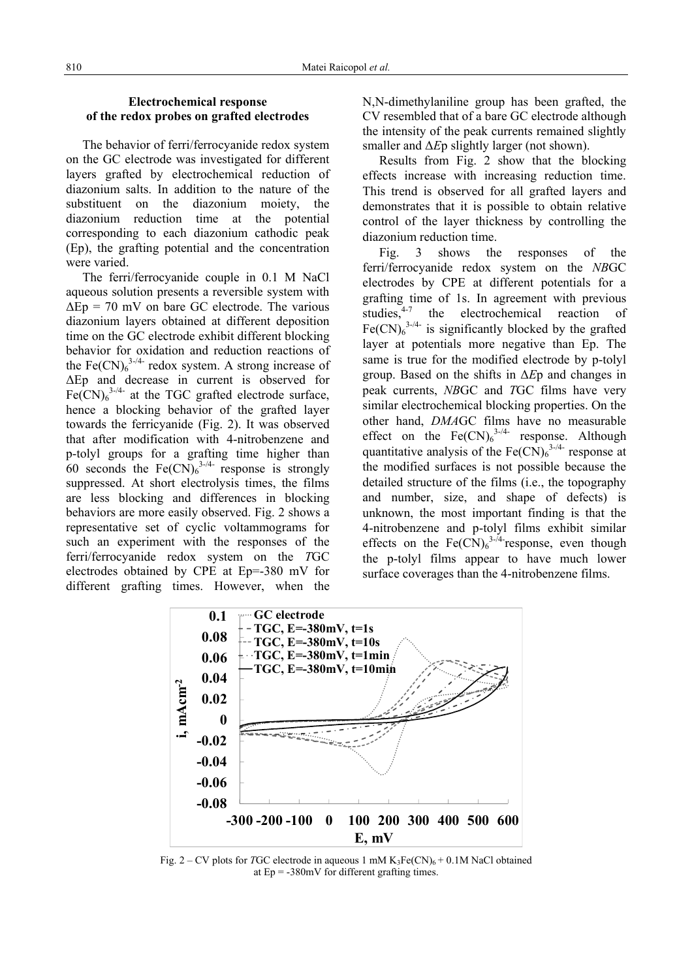# **Electrochemical response of the redox probes on grafted electrodes**

 The behavior of ferri/ferrocyanide redox system on the GC electrode was investigated for different layers grafted by electrochemical reduction of diazonium salts. In addition to the nature of the substituent on the diazonium moiety, the diazonium reduction time at the potential corresponding to each diazonium cathodic peak (Ep), the grafting potential and the concentration were varied.

The ferri/ferrocyanide couple in 0.1 M NaCl aqueous solution presents a reversible system with  $\Delta$ Ep = 70 mV on bare GC electrode. The various diazonium layers obtained at different deposition time on the GC electrode exhibit different blocking behavior for oxidation and reduction reactions of the  $Fe(CN)_{6}^{3-4}$ - redox system. A strong increase of ∆Ep and decrease in current is observed for  $Fe(CN)_6^{3-4}$  at the TGC grafted electrode surface, hence a blocking behavior of the grafted layer towards the ferricyanide (Fig. 2). It was observed that after modification with 4-nitrobenzene and p-tolyl groups for a grafting time higher than 60 seconds the  $Fe(CN)_6^{3/4}$  response is strongly suppressed. At short electrolysis times, the films are less blocking and differences in blocking behaviors are more easily observed. Fig. 2 shows a representative set of cyclic voltammograms for such an experiment with the responses of the ferri/ferrocyanide redox system on the *T*GC electrodes obtained by CPE at Ep=-380 mV for different grafting times. However, when the

N,N-dimethylaniline group has been grafted, the CV resembled that of a bare GC electrode although the intensity of the peak currents remained slightly smaller and Δ*E*p slightly larger (not shown).

Results from Fig. 2 show that the blocking effects increase with increasing reduction time. This trend is observed for all grafted layers and demonstrates that it is possible to obtain relative control of the layer thickness by controlling the diazonium reduction time.

Fig. 3 shows the responses of the ferri/ferrocyanide redox system on the *NB*GC electrodes by CPE at different potentials for a grafting time of 1s. In agreement with previous studies, $4-7$  the electrochemical reaction of  $Fe(CN)_{6}^{3-4}$  is significantly blocked by the grafted layer at potentials more negative than Ep. The same is true for the modified electrode by p-tolyl group. Based on the shifts in ∆*E*p and changes in peak currents, *NB*GC and *T*GC films have very similar electrochemical blocking properties. On the other hand, *DMA*GC films have no measurable effect on the  $Fe(CN)_{6}^{3-44}$  response. Although quantitative analysis of the  $Fe(CN)_{6}^{3-/4-}$  response at the modified surfaces is not possible because the detailed structure of the films (i.e., the topography and number, size, and shape of defects) is unknown, the most important finding is that the 4-nitrobenzene and p-tolyl films exhibit similar effects on the  $Fe(CN)_6^{3-4}$  response, even though the p-tolyl films appear to have much lower surface coverages than the 4-nitrobenzene films.



Fig. 2 – CV plots for *TGC* electrode in aqueous 1 mM  $K_3Fe(CN)_6 + 0.1M$  NaCl obtained at Ep = -380mV for different grafting times.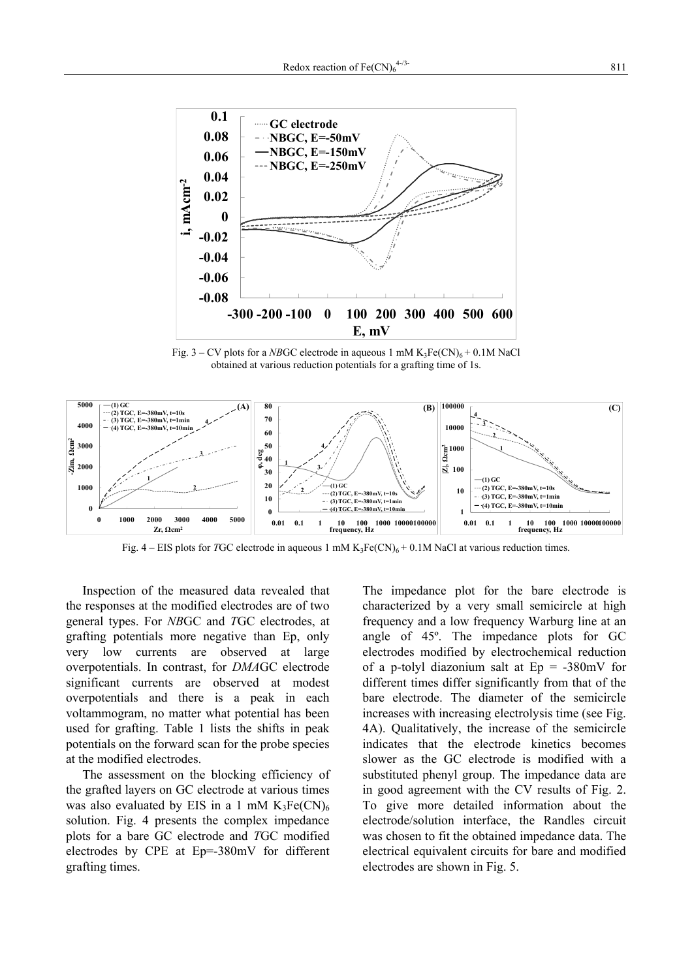

Fig.  $3 - CV$  plots for a *NBGC* electrode in aqueous 1 mM K<sub>3</sub>Fe(CN)<sub>6</sub> + 0.1M NaCl obtained at various reduction potentials for a grafting time of 1s.



Fig.  $4 -$  EIS plots for *T*GC electrode in aqueous 1 mM K<sub>3</sub>Fe(CN)<sub>6</sub> + 0.1M NaCl at various reduction times.

Inspection of the measured data revealed that the responses at the modified electrodes are of two general types. For *NB*GC and *T*GC electrodes, at grafting potentials more negative than Ep, only very low currents are observed at large overpotentials. In contrast, for *DMA*GC electrode significant currents are observed at modest overpotentials and there is a peak in each voltammogram, no matter what potential has been used for grafting. Table 1 lists the shifts in peak potentials on the forward scan for the probe species at the modified electrodes.

 The assessment on the blocking efficiency of the grafted layers on GC electrode at various times was also evaluated by EIS in a 1 mM  $K_3Fe(CN)_6$ solution. Fig. 4 presents the complex impedance plots for a bare GC electrode and *T*GC modified electrodes by CPE at Ep=-380mV for different grafting times.

The impedance plot for the bare electrode is characterized by a very small semicircle at high frequency and a low frequency Warburg line at an angle of 45º. The impedance plots for GC electrodes modified by electrochemical reduction of a p-tolyl diazonium salt at Ep = -380mV for different times differ significantly from that of the bare electrode. The diameter of the semicircle increases with increasing electrolysis time (see Fig. 4A). Qualitatively, the increase of the semicircle indicates that the electrode kinetics becomes slower as the GC electrode is modified with a substituted phenyl group. The impedance data are in good agreement with the CV results of Fig. 2. To give more detailed information about the electrode/solution interface, the Randles circuit was chosen to fit the obtained impedance data. The electrical equivalent circuits for bare and modified electrodes are shown in Fig. 5.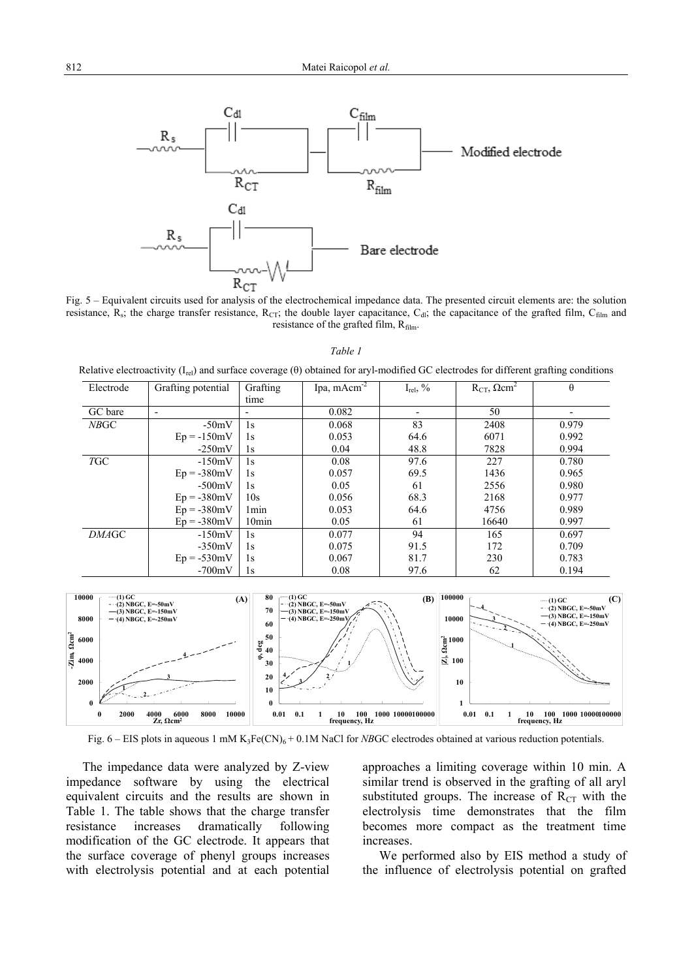

Fig. 5 – Equivalent circuits used for analysis of the electrochemical impedance data. The presented circuit elements are: the solution resistance,  $R_s$ ; the charge transfer resistance,  $R_{CT}$ ; the double layer capacitance,  $C_{di}$ ; the capacitance of the grafted film,  $C_{film}$  and resistance of the grafted film,  $R_{film}$ .

*Table 1*

Relative electroactivity (Irel) and surface coverage (θ) obtained for aryl-modified GC electrodes for different grafting conditions

| Electrode    | Grafting potential | Grafting         | Ipa, $mAcm-2$ | $I_{rel}$ , % | $R_{CT}$ , $\Omega$ cm <sup>2</sup> | θ     |
|--------------|--------------------|------------------|---------------|---------------|-------------------------------------|-------|
|              |                    | time             |               |               |                                     |       |
| GC bare      | -                  |                  | 0.082         |               | 50                                  |       |
| NBGC         | $-50mV$            | 1s               | 0.068         | 83            | 2408                                | 0.979 |
|              | $Ep = -150mV$      | 1s               | 0.053         | 64.6          | 6071                                | 0.992 |
|              | $-250mV$           | 1s               | 0.04          | 48.8          | 7828                                | 0.994 |
| <b>TGC</b>   | $-150mV$           | 1s               | 0.08          | 97.6          | 227                                 | 0.780 |
|              | $Ep = -380mV$      | 1s               | 0.057         | 69.5          | 1436                                | 0.965 |
|              | $-500mV$           | 1s               | 0.05          | 61            | 2556                                | 0.980 |
|              | $Ep = -380mV$      | 10s              | 0.056         | 68.3          | 2168                                | 0.977 |
|              | $Ep = -380mV$      | 1 <sub>min</sub> | 0.053         | 64.6          | 4756                                | 0.989 |
|              | $Ep = -380mV$      | 10min            | 0.05          | 61            | 16640                               | 0.997 |
| <b>DMAGC</b> | $-150mV$           | 1s               | 0.077         | 94            | 165                                 | 0.697 |
|              | $-350mV$           | 1s               | 0.075         | 91.5          | 172                                 | 0.709 |
|              | $Ep = -530mV$      | 1s               | 0.067         | 81.7          | 230                                 | 0.783 |
|              | $-700mV$           | 1s               | 0.08          | 97.6          | 62                                  | 0.194 |



Fig. 6 – EIS plots in aqueous 1 mM K<sub>3</sub>Fe(CN)<sub>6</sub> + 0.1M NaCl for *NBGC* electrodes obtained at various reduction potentials.

The impedance data were analyzed by Z-view impedance software by using the electrical equivalent circuits and the results are shown in Table 1. The table shows that the charge transfer resistance increases dramatically following modification of the GC electrode. It appears that the surface coverage of phenyl groups increases with electrolysis potential and at each potential approaches a limiting coverage within 10 min. A similar trend is observed in the grafting of all aryl substituted groups. The increase of  $R_{CT}$  with the electrolysis time demonstrates that the film becomes more compact as the treatment time increases.

We performed also by EIS method a study of the influence of electrolysis potential on grafted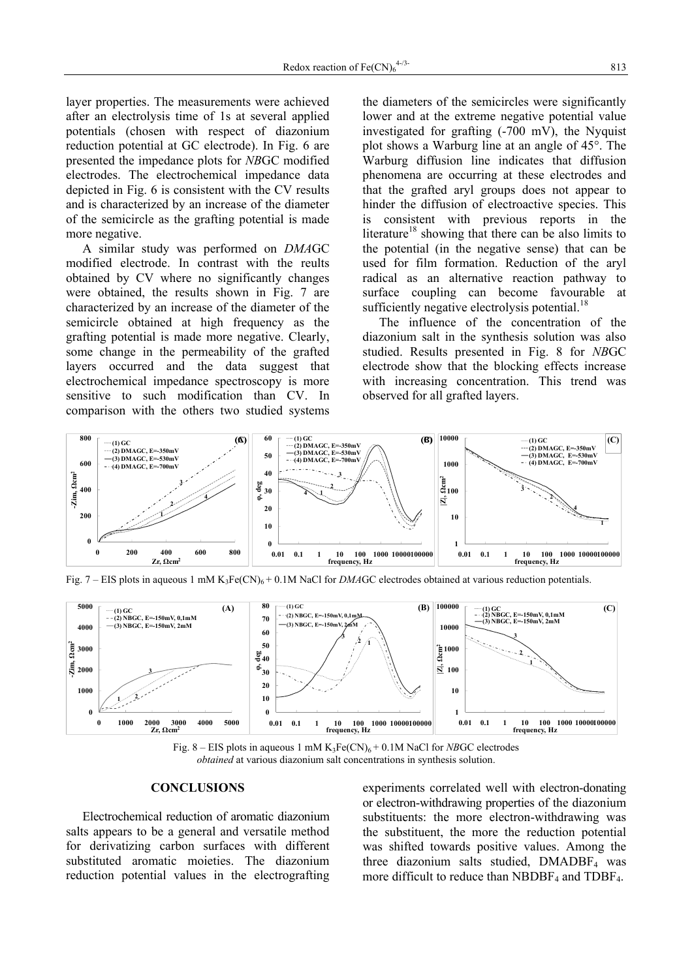layer properties. The measurements were achieved after an electrolysis time of 1s at several applied potentials (chosen with respect of diazonium reduction potential at GC electrode). In Fig. 6 are presented the impedance plots for *NB*GC modified electrodes. The electrochemical impedance data depicted in Fig. 6 is consistent with the CV results and is characterized by an increase of the diameter of the semicircle as the grafting potential is made more negative.

 A similar study was performed on *DMA*GC modified electrode. In contrast with the reults obtained by CV where no significantly changes were obtained, the results shown in Fig. 7 are characterized by an increase of the diameter of the semicircle obtained at high frequency as the grafting potential is made more negative. Clearly, some change in the permeability of the grafted layers occurred and the data suggest that electrochemical impedance spectroscopy is more sensitive to such modification than CV. In comparison with the others two studied systems the diameters of the semicircles were significantly lower and at the extreme negative potential value investigated for grafting (-700 mV), the Nyquist plot shows a Warburg line at an angle of 45°. The Warburg diffusion line indicates that diffusion phenomena are occurring at these electrodes and that the grafted aryl groups does not appear to hinder the diffusion of electroactive species. This is consistent with previous reports in the literature<sup>18</sup> showing that there can be also limits to the potential (in the negative sense) that can be used for film formation. Reduction of the aryl radical as an alternative reaction pathway to surface coupling can become favourable at sufficiently negative electrolysis potential. $^{18}$ 

The influence of the concentration of the diazonium salt in the synthesis solution was also studied. Results presented in Fig. 8 for *NB*GC electrode show that the blocking effects increase with increasing concentration. This trend was observed for all grafted layers.



Fig. 7 – EIS plots in aqueous 1 mM  $K_3Fe(CN)_6 + 0.1M$  NaCl for *DMAGC* electrodes obtained at various reduction potentials.



Fig. 8 – EIS plots in aqueous 1 mM  $K_3Fe(CN)_6 + 0.1M$  NaCl for *NBGC* electrodes *obtained* at various diazonium salt concentrations in synthesis solution.

### **CONCLUSIONS**

 Electrochemical reduction of aromatic diazonium salts appears to be a general and versatile method for derivatizing carbon surfaces with different substituted aromatic moieties. The diazonium reduction potential values in the electrografting experiments correlated well with electron-donating or electron-withdrawing properties of the diazonium substituents: the more electron-withdrawing was the substituent, the more the reduction potential was shifted towards positive values. Among the three diazonium salts studied,  $DMADBF<sub>4</sub>$  was more difficult to reduce than  $NBDBF<sub>4</sub>$  and  $TDBF<sub>4</sub>$ .